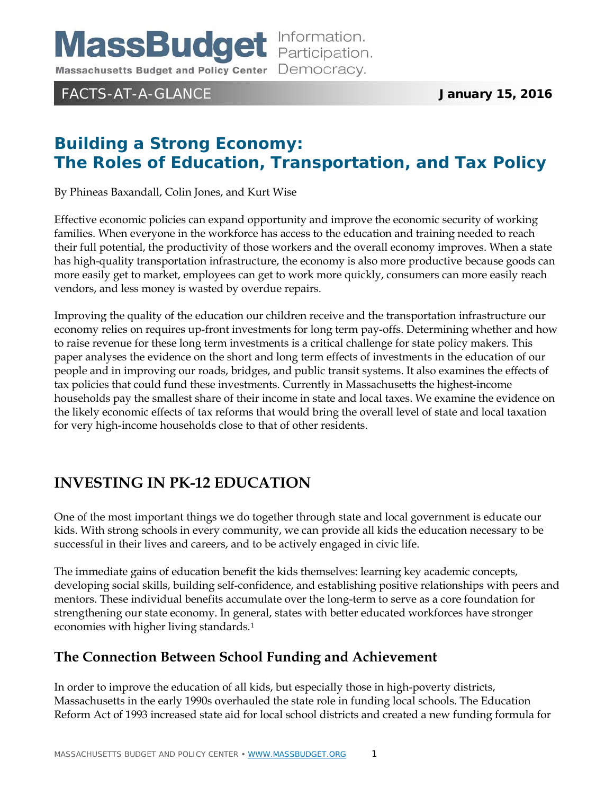**MassBudget** Information. Massachusetts Budget and Policy Center Democracy.

## FACTS-AT-A-GLANCE **January 15, 2016**

# **Building a Strong Economy: The Roles of Education, Transportation, and Tax Policy**

By Phineas Baxandall, Colin Jones, and Kurt Wise

Effective economic policies can expand opportunity and improve the economic security of working families. When everyone in the workforce has access to the education and training needed to reach their full potential, the productivity of those workers and the overall economy improves. When a state has high-quality transportation infrastructure, the economy is also more productive because goods can more easily get to market, employees can get to work more quickly, consumers can more easily reach vendors, and less money is wasted by overdue repairs.

Improving the quality of the education our children receive and the transportation infrastructure our economy relies on requires up-front investments for long term pay-offs. Determining whether and how to raise revenue for these long term investments is a critical challenge for state policy makers. This paper analyses the evidence on the short and long term effects of investments in the education of our people and in improving our roads, bridges, and public transit systems. It also examines the effects of tax policies that could fund these investments. Currently in Massachusetts the highest-income households pay the smallest share of their income in state and local taxes. We examine the evidence on the likely economic effects of tax reforms that would bring the overall level of state and local taxation for very high-income households close to that of other residents.

## **INVESTING IN PK-12 EDUCATION**

One of the most important things we do together through state and local government is educate our kids. With strong schools in every community, we can provide all kids the education necessary to be successful in their lives and careers, and to be actively engaged in civic life.

The immediate gains of education benefit the kids themselves: learning key academic concepts, developing social skills, building self-confidence, and establishing positive relationships with peers and mentors. These individual benefits accumulate over the long-term to serve as a core foundation for strengthening our state economy. In general, states with better educated workforces have stronger economies with higher living standards.[1](#page-9-0)

## **The Connection Between School Funding and Achievement**

In order to improve the education of all kids, but especially those in high-poverty districts, Massachusetts in the early 1990s overhauled the state role in funding local schools. The Education Reform Act of 1993 increased state aid for local school districts and created a new funding formula for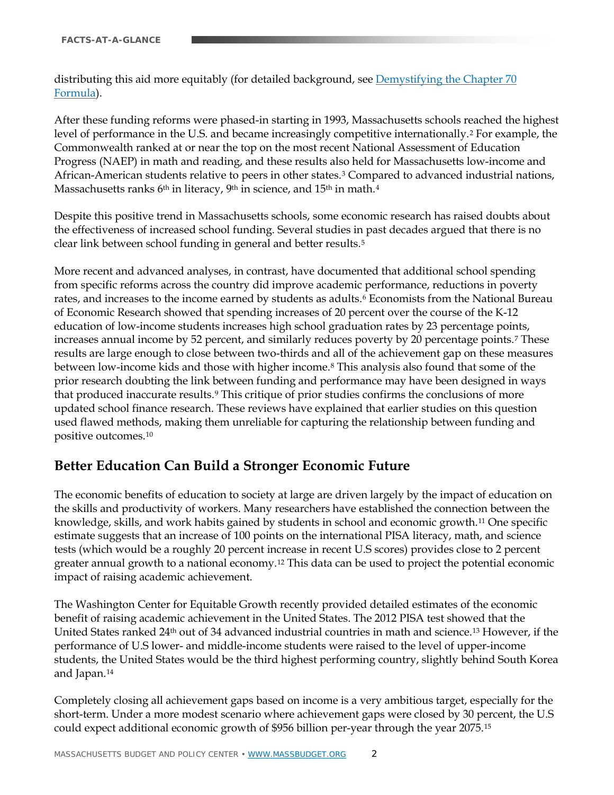distributing this aid more equitably (for detailed background, see Demystifying the Chapter 70 [Formula\)](http://www.massbudget.org/report_window.php?loc=Facts_10_22_10.html).

After these funding reforms were phased-in starting in 1993, Massachusetts schools reached the highest level of performance in the U.S. and became increasingly competitive internationally.[2](#page-10-0) For example, the Commonwealth ranked at or near the top on the most recent National Assessment of Education Progress (NAEP) in math and reading, and these results also held for Massachusetts low-income and African-American students relative to peers in other states.[3](#page-10-1) Compared to advanced industrial nations, Massachusetts ranks 6<sup>th</sup> in literacy, 9<sup>th</sup> in science, and 15<sup>th</sup> in math.<sup>[4](#page-10-2)</sup>

Despite this positive trend in Massachusetts schools, some economic research has raised doubts about the effectiveness of increased school funding. Several studies in past decades argued that there is no clear link between school funding in general and better results[.5](#page-10-3)

More recent and advanced analyses, in contrast, have documented that additional school spending from specific reforms across the country did improve academic performance, reductions in poverty rates, and increases to the income earned by students as adults.<sup>[6](#page-10-4)</sup> Economists from the National Bureau of Economic Research showed that spending increases of 20 percent over the course of the K-12 education of low-income students increases high school graduation rates by 23 percentage points, increases annual income by 52 percent, and similarly reduces poverty by 20 percentage points.[7](#page-10-5) These results are large enough to close between two-thirds and all of the achievement gap on these measures between low-income kids and those with higher income.[8](#page-10-6) This analysis also found that some of the prior research doubting the link between funding and performance may have been designed in ways that produced inaccurate results.[9](#page-10-7) This critique of prior studies confirms the conclusions of more updated school finance research. These reviews have explained that earlier studies on this question used flawed methods, making them unreliable for capturing the relationship between funding and positive outcomes.[10](#page-10-8)

## **Better Education Can Build a Stronger Economic Future**

The economic benefits of education to society at large are driven largely by the impact of education on the skills and productivity of workers. Many researchers have established the connection between the knowledge, skills, and work habits gained by students in school and economic growth.[11](#page-10-9) One specific estimate suggests that an increase of 100 points on the international PISA literacy, math, and science tests (which would be a roughly 20 percent increase in recent U.S scores) provides close to 2 percent greater annual growth to a national economy.[12](#page-10-10) This data can be used to project the potential economic impact of raising academic achievement.

The Washington Center for Equitable Growth recently provided detailed estimates of the economic benefit of raising academic achievement in the United States. The 2012 PISA test showed that the United States ranked 24<sup>th</sup> out of 34 advanced industrial countries in math and science.<sup>13</sup> However, if the performance of U.S lower- and middle-income students were raised to the level of upper-income students, the United States would be the third highest performing country, slightly behind South Korea and Japan.[14](#page-10-12)

Completely closing all achievement gaps based on income is a very ambitious target, especially for the short-term. Under a more modest scenario where achievement gaps were closed by 30 percent, the U.S could expect additional economic growth of \$956 billion per-year through the year 2075.[15](#page-10-13)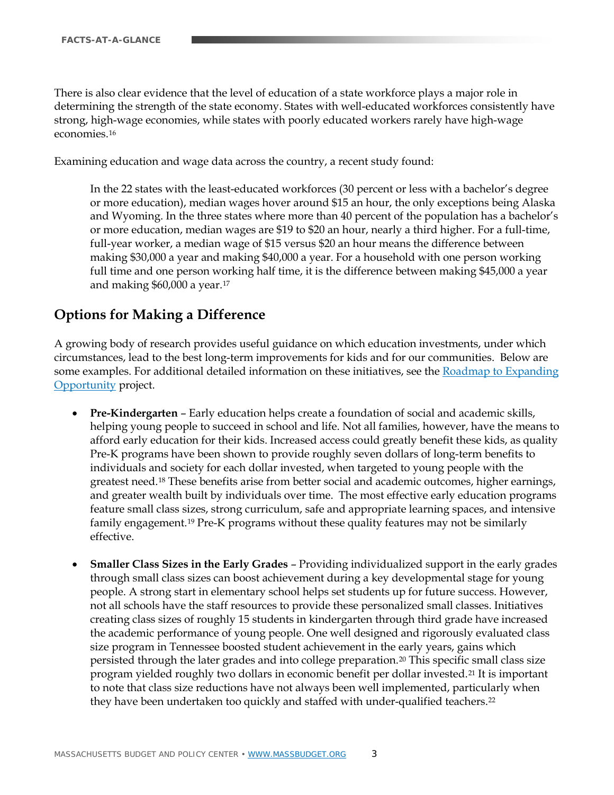There is also clear evidence that the level of education of a state workforce plays a major role in determining the strength of the state economy. States with well-educated workforces consistently have strong, high-wage economies, while states with poorly educated workers rarely have high-wage economies.[16](#page-11-0)

Examining education and wage data across the country, a recent study found:

In the 22 states with the least-educated workforces (30 percent or less with a bachelor's degree or more education), median wages hover around \$15 an hour, the only exceptions being Alaska and Wyoming. In the three states where more than 40 percent of the population has a bachelor's or more education, median wages are \$19 to \$20 an hour, nearly a third higher. For a full-time, full-year worker, a median wage of \$15 versus \$20 an hour means the difference between making \$30,000 a year and making \$40,000 a year. For a household with one person working full time and one person working half time, it is the difference between making \$45,000 a year and making \$60,000 a year.[17](#page-11-1)

#### **Options for Making a Difference**

A growing body of research provides useful guidance on which education investments, under which circumstances, lead to the best long-term improvements for kids and for our communities. Below are some examples. For additional detailed information on these initiatives, see the [Roadmap to Expanding](http://www.expandingopportunity.org/)  [Opportunity](http://www.expandingopportunity.org/) project.

- **Pre-Kindergarten**  Early education helps create a foundation of social and academic skills, helping young people to succeed in school and life. Not all families, however, have the means to afford early education for their kids. Increased access could greatly benefit these kids, as quality Pre-K programs have been shown to provide roughly seven dollars of long-term benefits to individuals and society for each dollar invested, when targeted to young people with the greatest need.[18](#page-11-2) These benefits arise from better social and academic outcomes, higher earnings, and greater wealth built by individuals over time. The most effective early education programs feature small class sizes, strong curriculum, safe and appropriate learning spaces, and intensive family engagement.[19](#page-11-3) Pre-K programs without these quality features may not be similarly effective.
- **Smaller Class Sizes in the Early Grades**  Providing individualized support in the early grades through small class sizes can boost achievement during a key developmental stage for young people. A strong start in elementary school helps set students up for future success. However, not all schools have the staff resources to provide these personalized small classes. Initiatives creating class sizes of roughly 15 students in kindergarten through third grade have increased the academic performance of young people. One well designed and rigorously evaluated class size program in Tennessee boosted student achievement in the early years, gains which persisted through the later grades and into college preparation.[20](#page-11-4) This specific small class size program yielded roughly two dollars in economic benefit per dollar invested.[21](#page-11-5) It is important to note that class size reductions have not always been well implemented, particularly when they have been undertaken too quickly and staffed with under-qualified teachers.<sup>[22](#page-11-6)</sup>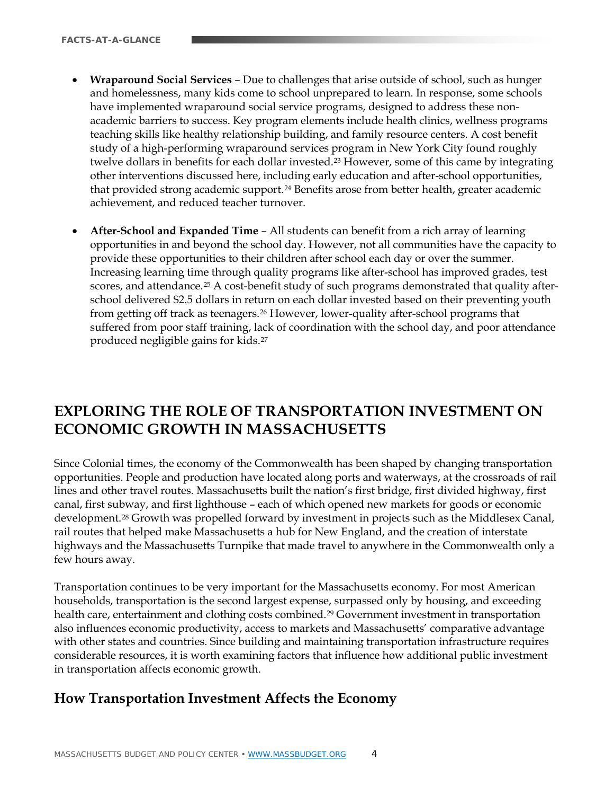- **Wraparound Social Services** Due to challenges that arise outside of school, such as hunger and homelessness, many kids come to school unprepared to learn. In response, some schools have implemented wraparound social service programs, designed to address these nonacademic barriers to success. Key program elements include health clinics, wellness programs teaching skills like healthy relationship building, and family resource centers. A cost benefit study of a high-performing wraparound services program in New York City found roughly twelve dollars in benefits for each dollar invested.<sup>[23](#page-12-0)</sup> However, some of this came by integrating other interventions discussed here, including early education and after-school opportunities, that provided strong academic support.[24](#page-12-1) Benefits arose from better health, greater academic achievement, and reduced teacher turnover.
- **After-School and Expanded Time** All students can benefit from a rich array of learning opportunities in and beyond the school day. However, not all communities have the capacity to provide these opportunities to their children after school each day or over the summer. Increasing learning time through quality programs like after-school has improved grades, test scores, and attendance.<sup>[25](#page-12-2)</sup> A cost-benefit study of such programs demonstrated that quality afterschool delivered \$2.5 dollars in return on each dollar invested based on their preventing youth from getting off track as teenagers.[26](#page-12-3) However, lower-quality after-school programs that suffered from poor staff training, lack of coordination with the school day, and poor attendance produced negligible gains for kids.[27](#page-12-4)

## **EXPLORING THE ROLE OF TRANSPORTATION INVESTMENT ON ECONOMIC GROWTH IN MASSACHUSETTS**

Since Colonial times, the economy of the Commonwealth has been shaped by changing transportation opportunities. People and production have located along ports and waterways, at the crossroads of rail lines and other travel routes. Massachusetts built the nation's first bridge, first divided highway, first canal, first subway, and first lighthouse – each of which opened new markets for goods or economic development.<sup>[28](#page-12-5)</sup> Growth was propelled forward by investment in projects such as the Middlesex Canal, rail routes that helped make Massachusetts a hub for New England, and the creation of interstate highways and the Massachusetts Turnpike that made travel to anywhere in the Commonwealth only a few hours away.

Transportation continues to be very important for the Massachusetts economy. For most American households, transportation is the second largest expense, surpassed only by housing, and exceeding health care, entertainment and clothing costs combined.<sup>[29](#page-12-6)</sup> Government investment in transportation also influences economic productivity, access to markets and Massachusetts' comparative advantage with other states and countries. Since building and maintaining transportation infrastructure requires considerable resources, it is worth examining factors that influence how additional public investment in transportation affects economic growth.

#### **How Transportation Investment Affects the Economy**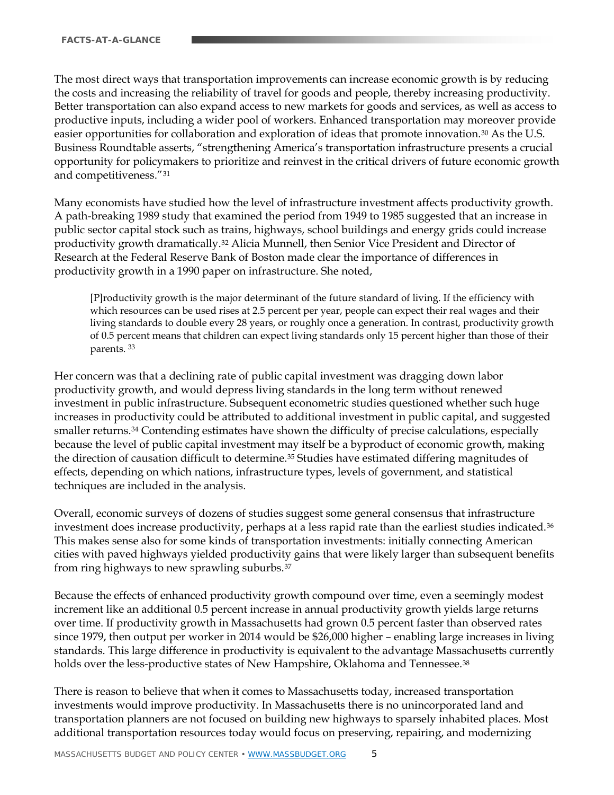The most direct ways that transportation improvements can increase economic growth is by reducing the costs and increasing the reliability of travel for goods and people, thereby increasing productivity. Better transportation can also expand access to new markets for goods and services, as well as access to productive inputs, including a wider pool of workers. Enhanced transportation may moreover provide easier opportunities for collaboration and exploration of ideas that promote innovation.[30](#page-13-0) As the U.S. Business Roundtable asserts, "strengthening America's transportation infrastructure presents a crucial opportunity for policymakers to prioritize and reinvest in the critical drivers of future economic growth and competitiveness."[31](#page-13-1)

Many economists have studied how the level of infrastructure investment affects productivity growth. A path-breaking 1989 study that examined the period from 1949 to 1985 suggested that an increase in public sector capital stock such as trains, highways, school buildings and energy grids could increase productivity growth dramatically.[32](#page-13-2) Alicia Munnell, then Senior Vice President and Director of Research at the Federal Reserve Bank of Boston made clear the importance of differences in productivity growth in a 1990 paper on infrastructure. She noted,

[P]roductivity growth is the major determinant of the future standard of living. If the efficiency with which resources can be used rises at 2.5 percent per year, people can expect their real wages and their living standards to double every 28 years, or roughly once a generation. In contrast, productivity growth of 0.5 percent means that children can expect living standards only 15 percent higher than those of their parents. [33](#page-13-3)

Her concern was that a declining rate of public capital investment was dragging down labor productivity growth, and would depress living standards in the long term without renewed investment in public infrastructure. Subsequent econometric studies questioned whether such huge increases in productivity could be attributed to additional investment in public capital, and suggested smaller returns.[34](#page-13-4) Contending estimates have shown the difficulty of precise calculations, especially because the level of public capital investment may itself be a byproduct of economic growth, making the direction of causation difficult to determine.<sup>[35](#page-13-5)</sup> Studies have estimated differing magnitudes of effects, depending on which nations, infrastructure types, levels of government, and statistical techniques are included in the analysis.

Overall, economic surveys of dozens of studies suggest some general consensus that infrastructure investment does increase productivity, perhaps at a less rapid rate than the earliest studies indicated.[36](#page-13-6) This makes sense also for some kinds of transportation investments: initially connecting American cities with paved highways yielded productivity gains that were likely larger than subsequent benefits from ring highways to new sprawling suburbs.[37](#page-13-7)

Because the effects of enhanced productivity growth compound over time, even a seemingly modest increment like an additional 0.5 percent increase in annual productivity growth yields large returns over time. If productivity growth in Massachusetts had grown 0.5 percent faster than observed rates since 1979, then output per worker in 2014 would be \$26,000 higher – enabling large increases in living standards. This large difference in productivity is equivalent to the advantage Massachusetts currently holds over the less-productive states of New Hampshire, Oklahoma and Tennessee.<sup>[38](#page-13-8)</sup>

There is reason to believe that when it comes to Massachusetts today, increased transportation investments would improve productivity. In Massachusetts there is no unincorporated land and transportation planners are not focused on building new highways to sparsely inhabited places. Most additional transportation resources today would focus on preserving, repairing, and modernizing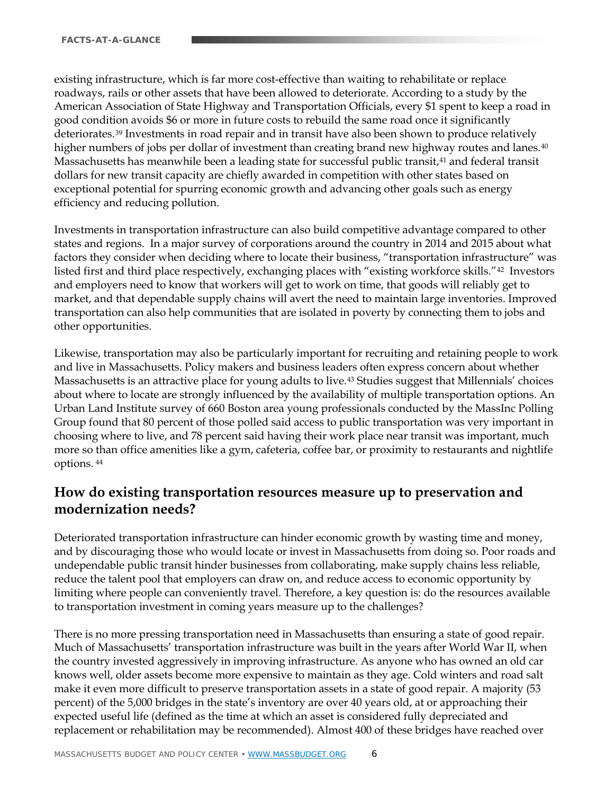existing infrastructure, which is far more cost-effective than waiting to rehabilitate or replace roadways, rails or other assets that have been allowed to deteriorate. According to a study by the American Association of State Highway and Transportation Officials, every \$1 spent to keep a road in good condition avoids \$6 or more in future costs to rebuild the same road once it significantly deteriorates.[39](#page-14-0) Investments in road repair and in transit have also been shown to produce relatively higher numbers of jobs per dollar of investment than creating brand new highway routes and lanes.<sup>[40](#page-14-1)</sup> Massachusetts has meanwhile been a leading state for successful public transit[,41](#page-14-2) and federal transit dollars for new transit capacity are chiefly awarded in competition with other states based on exceptional potential for spurring economic growth and advancing other goals such as energy efficiency and reducing pollution.

Investments in transportation infrastructure can also build competitive advantage compared to other states and regions. In a major survey of corporations around the country in 2014 and 2015 about what factors they consider when deciding where to locate their business, "transportation infrastructure" was listed first and third place respectively, exchanging places with "existing workforce skills."[42](#page-14-3) Investors and employers need to know that workers will get to work on time, that goods will reliably get to market, and that dependable supply chains will avert the need to maintain large inventories. Improved transportation can also help communities that are isolated in poverty by connecting them to jobs and other opportunities.

Likewise, transportation may also be particularly important for recruiting and retaining people to work and live in Massachusetts. Policy makers and business leaders often express concern about whether Massachusetts is an attractive place for young adults to live.[43](#page-14-4) Studies suggest that Millennials' choices about where to locate are strongly influenced by the availability of multiple transportation options. An Urban Land Institute survey of 660 Boston area young professionals conducted by the MassInc Polling Group found that 80 percent of those polled said access to public transportation was very important in choosing where to live, and 78 percent said having their work place near transit was important, much more so than office amenities like a gym, cafeteria, coffee bar, or proximity to restaurants and nightlife options. [44](#page-14-5)

### **How do existing transportation resources measure up to preservation and modernization needs?**

Deteriorated transportation infrastructure can hinder economic growth by wasting time and money, and by discouraging those who would locate or invest in Massachusetts from doing so. Poor roads and undependable public transit hinder businesses from collaborating, make supply chains less reliable, reduce the talent pool that employers can draw on, and reduce access to economic opportunity by limiting where people can conveniently travel. Therefore, a key question is: do the resources available to transportation investment in coming years measure up to the challenges?

There is no more pressing transportation need in Massachusetts than ensuring a state of good repair. Much of Massachusetts' transportation infrastructure was built in the years after World War II, when the country invested aggressively in improving infrastructure. As anyone who has owned an old car knows well, older assets become more expensive to maintain as they age. Cold winters and road salt make it even more difficult to preserve transportation assets in a state of good repair. A majority (53 percent) of the 5,000 bridges in the state's inventory are over 40 years old, at or approaching their expected useful life (defined as the time at which an asset is considered fully depreciated and replacement or rehabilitation may be recommended). Almost 400 of these bridges have reached over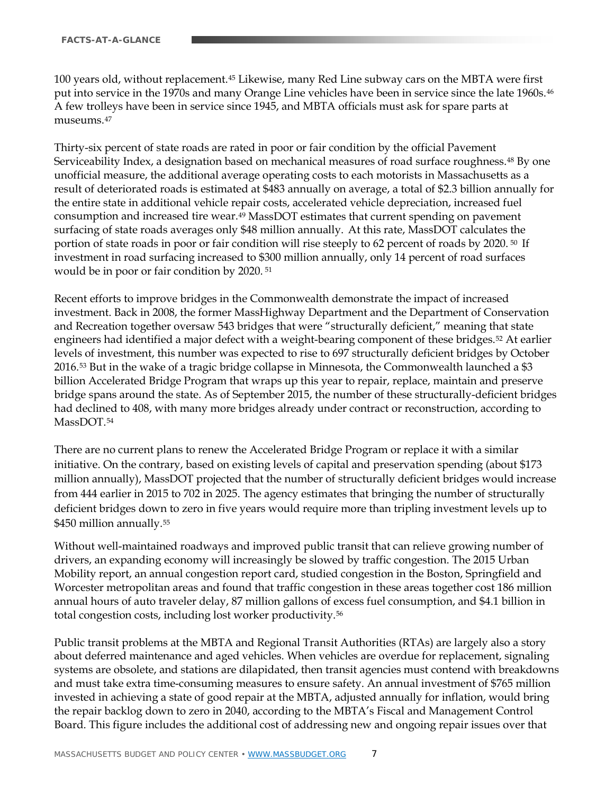100 years old, without replacement.[45](#page-15-0) Likewise, many Red Line subway cars on the MBTA were first put into service in the 1970s and many Orange Line vehicles have been in service since the late 1960s.[46](#page-15-1) A few trolleys have been in service since 1945, and MBTA officials must ask for spare parts at museums.[47](#page-15-2)

Thirty-six percent of state roads are rated in poor or fair condition by the official Pavement Serviceability Index, a designation based on mechanical measures of road surface roughness.<sup>[48](#page-15-3)</sup> By one unofficial measure, the additional average operating costs to each motorists in Massachusetts as a result of deteriorated roads is estimated at \$483 annually on average, a total of \$2.3 billion annually for the entire state in additional vehicle repair costs, accelerated vehicle depreciation, increased fuel consumption and increased tire wear.[49](#page-15-4) MassDOT estimates that current spending on pavement surfacing of state roads averages only \$48 million annually. At this rate, MassDOT calculates the portion of state roads in poor or fair condition will rise steeply to 62 percent of roads by 2020. [50](#page-15-5) If investment in road surfacing increased to \$300 million annually, only 14 percent of road surfaces would be in poor or fair condition by 2020. [51](#page-15-6)

Recent efforts to improve bridges in the Commonwealth demonstrate the impact of increased investment. Back in 2008, the former MassHighway Department and the Department of Conservation and Recreation together oversaw 543 bridges that were "structurally deficient," meaning that state engineers had identified a major defect with a weight-bearing component of these bridges.[52](#page-15-7) At earlier levels of investment, this number was expected to rise to 697 structurally deficient bridges by October 2016.[53](#page-15-8) But in the wake of a tragic bridge collapse in Minnesota, the Commonwealth launched a \$3 billion Accelerated Bridge Program that wraps up this year to repair, replace, maintain and preserve bridge spans around the state. As of September 2015, the number of these structurally-deficient bridges had declined to 408, with many more bridges already under contract or reconstruction, according to MassDOT.<sup>[54](#page-15-9)</sup>

There are no current plans to renew the Accelerated Bridge Program or replace it with a similar initiative. On the contrary, based on existing levels of capital and preservation spending (about \$173 million annually), MassDOT projected that the number of structurally deficient bridges would increase from 444 earlier in 2015 to 702 in 2025. The agency estimates that bringing the number of structurally deficient bridges down to zero in five years would require more than tripling investment levels up to \$450 million annually.<sup>[55](#page-15-10)</sup>

Without well-maintained roadways and improved public transit that can relieve growing number of drivers, an expanding economy will increasingly be slowed by traffic congestion. The 2015 Urban Mobility report, an annual congestion report card, studied congestion in the Boston, Springfield and Worcester metropolitan areas and found that traffic congestion in these areas together cost 186 million annual hours of auto traveler delay, 87 million gallons of excess fuel consumption, and \$4.1 billion in total congestion costs, including lost worker productivity.[56](#page-15-11)

Public transit problems at the MBTA and Regional Transit Authorities (RTAs) are largely also a story about deferred maintenance and aged vehicles. When vehicles are overdue for replacement, signaling systems are obsolete, and stations are dilapidated, then transit agencies must contend with breakdowns and must take extra time-consuming measures to ensure safety. An annual investment of \$765 million invested in achieving a state of good repair at the MBTA, adjusted annually for inflation, would bring the repair backlog down to zero in 2040, according to the MBTA's Fiscal and Management Control Board. This figure includes the additional cost of addressing new and ongoing repair issues over that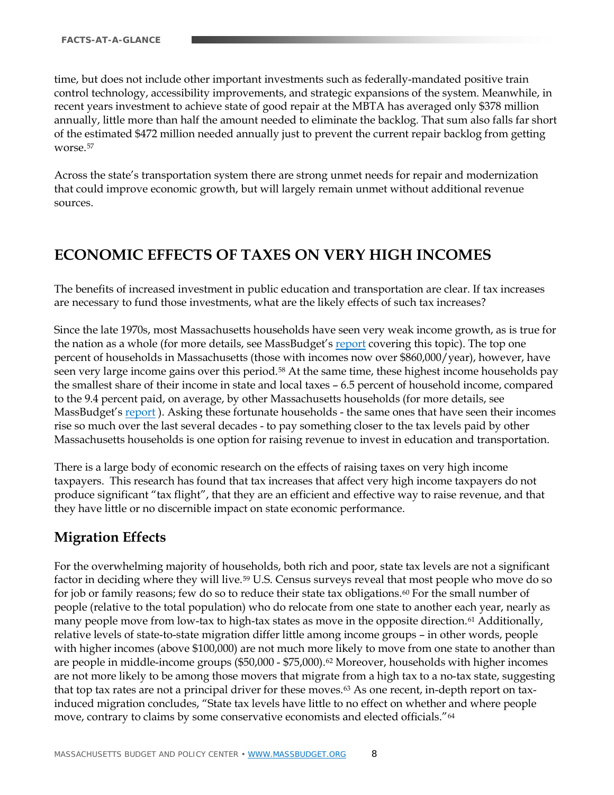time, but does not include other important investments such as federally-mandated positive train control technology, accessibility improvements, and strategic expansions of the system. Meanwhile, in recent years investment to achieve state of good repair at the MBTA has averaged only \$378 million annually, little more than half the amount needed to eliminate the backlog. That sum also falls far short of the estimated \$472 million needed annually just to prevent the current repair backlog from getting worse.[57](#page-15-0)

Across the state's transportation system there are strong unmet needs for repair and modernization that could improve economic growth, but will largely remain unmet without additional revenue sources.

## **ECONOMIC EFFECTS OF TAXES ON VERY HIGH INCOMES**

The benefits of increased investment in public education and transportation are clear. If tax increases are necessary to fund those investments, what are the likely effects of such tax increases?

Since the late 1970s, most Massachusetts households have seen very weak income growth, as is true for the nation as a whole (for more details, see MassBudget'[s report](http://www.massbudget.org/report_window.php?loc=Education_and_Transportation_Amendment_UPDATED.html) covering this topic). The top one percent of households in Massachusetts (those with incomes now over \$860,000/year), however, have seen very large income gains over this period.[58](#page-15-12) At the same time, these highest income households pay the smallest share of their income in state and local taxes – 6.5 percent of household income, compared to the 9.4 percent paid, on average, by other Massachusetts households (for more details, see MassBudget'[s report](http://www.massbudget.org/report_window.php?loc=Education_and_Transportation_Amendment_UPDATED.html)). Asking these fortunate households - the same ones that have seen their incomes rise so much over the last several decades - to pay something closer to the tax levels paid by other Massachusetts households is one option for raising revenue to invest in education and transportation.

There is a large body of economic research on the effects of raising taxes on very high income taxpayers. This research has found that tax increases that affect very high income taxpayers do not produce significant "tax flight", that they are an efficient and effective way to raise revenue, and that they have little or no discernible impact on state economic performance.

### **Migration Effects**

For the overwhelming majority of households, both rich and poor, state tax levels are not a significant factor in deciding where they will live.[59](#page-15-13) U.S. Census surveys reveal that most people who move do so for job or family reasons; few do so to reduce their state tax obligations.<sup>60</sup> For the small number of people (relative to the total population) who do relocate from one state to another each year, nearly as many people move from low-tax to high-tax states as move in the opposite direction.<sup>[61](#page-15-15)</sup> Additionally, relative levels of state-to-state migration differ little among income groups – in other words, people with higher incomes (above \$100,000) are not much more likely to move from one state to another than are people in middle-income groups (\$50,000 - \$75,000).<sup>[62](#page-15-4)</sup> Moreover, households with higher incomes are not more likely to be among those movers that migrate from a high tax to a no-tax state, suggesting that top tax rates are not a principal driver for these moves.<sup>[63](#page-15-16)</sup> As one recent, in-depth report on taxinduced migration concludes, "State tax levels have little to no effect on whether and where people move, contrary to claims by some conservative economists and elected officials."[64](#page-15-17)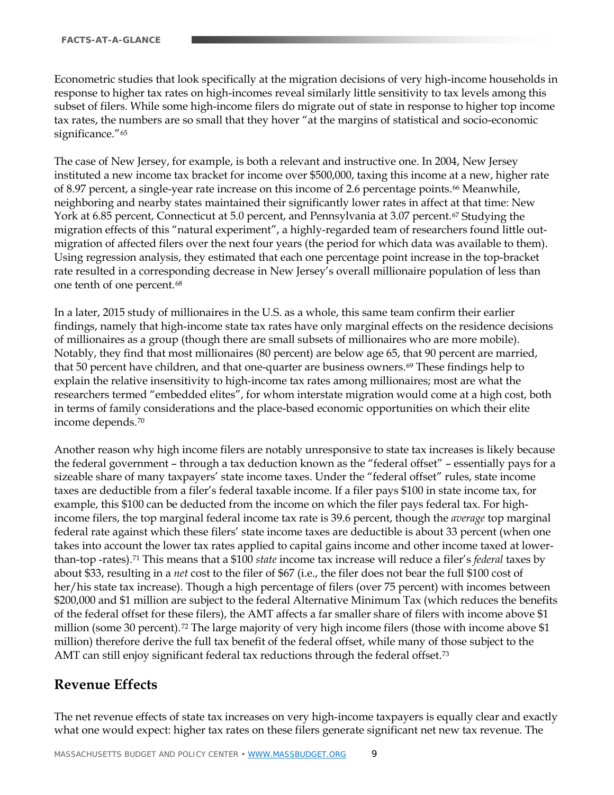Econometric studies that look specifically at the migration decisions of very high-income households in response to higher tax rates on high-incomes reveal similarly little sensitivity to tax levels among this subset of filers. While some high-income filers do migrate out of state in response to higher top income tax rates, the numbers are so small that they hover "at the margins of statistical and socio-economic significance."<sup>[65](#page-15-18)</sup>

The case of New Jersey, for example, is both a relevant and instructive one. In 2004, New Jersey instituted a new income tax bracket for income over \$500,000, taxing this income at a new, higher rate of 8.97 percent, a single-year rate increase on this income of 2.6 percentage points.<sup>66</sup> Meanwhile, neighboring and nearby states maintained their significantly lower rates in affect at that time: New York at 6.85 percent, Connecticut at 5.0 percent, and Pennsylvania at 3.07 percent.[67](#page-15-7) Studying the migration effects of this "natural experiment", a highly-regarded team of researchers found little outmigration of affected filers over the next four years (the period for which data was available to them). Using regression analysis, they estimated that each one percentage point increase in the top-bracket rate resulted in a corresponding decrease in New Jersey's overall millionaire population of less than one tenth of one percent.[68](#page-15-19)

In a later, 2015 study of millionaires in the U.S. as a whole, this same team confirm their earlier findings, namely that high-income state tax rates have only marginal effects on the residence decisions of millionaires as a group (though there are small subsets of millionaires who are more mobile). Notably, they find that most millionaires (80 percent) are below age 65, that 90 percent are married, that 50 percent have children, and that one-quarter are business owners.[69](#page-15-9) These findings help to explain the relative insensitivity to high-income tax rates among millionaires; most are what the researchers termed "embedded elites", for whom interstate migration would come at a high cost, both in terms of family considerations and the place-based economic opportunities on which their elite income depends.[70](#page-15-20)

Another reason why high income filers are notably unresponsive to state tax increases is likely because the federal government – through a tax deduction known as the "federal offset" – essentially pays for a sizeable share of many taxpayers' state income taxes. Under the "federal offset" rules, state income taxes are deductible from a filer's federal taxable income. If a filer pays \$100 in state income tax, for example, this \$100 can be deducted from the income on which the filer pays federal tax. For highincome filers, the top marginal federal income tax rate is 39.6 percent, though the *average* top marginal federal rate against which these filers' state income taxes are deductible is about 33 percent (when one takes into account the lower tax rates applied to capital gains income and other income taxed at lowerthan-top -rates)[.71](#page-15-21) This means that a \$100 *state* income tax increase will reduce a filer's *federal* taxes by about \$33, resulting in a *net* cost to the filer of \$67 (i.e., the filer does not bear the full \$100 cost of her/his state tax increase). Though a high percentage of filers (over 75 percent) with incomes between \$200,000 and \$1 million are subject to the federal Alternative Minimum Tax (which reduces the benefits of the federal offset for these filers), the AMT affects a far smaller share of filers with income above \$1 million (some 30 percent).<sup>[72](#page-15-22)</sup> The large majority of very high income filers (those with income above \$1 million) therefore derive the full tax benefit of the federal offset, while many of those subject to the AMT can still enjoy significant federal tax reductions through the federal offset.<sup>[73](#page-15-13)</sup>

#### **Revenue Effects**

The net revenue effects of state tax increases on very high-income taxpayers is equally clear and exactly what one would expect: higher tax rates on these filers generate significant net new tax revenue. The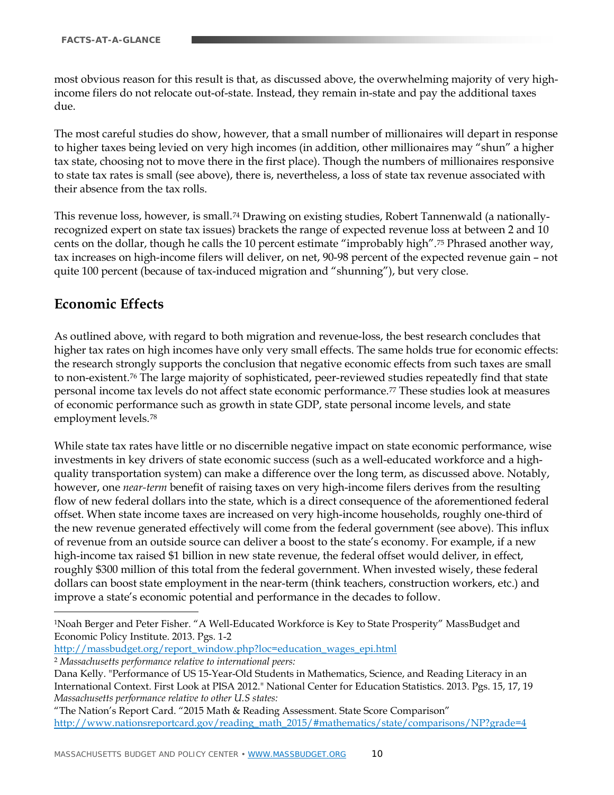most obvious reason for this result is that, as discussed above, the overwhelming majority of very highincome filers do not relocate out-of-state. Instead, they remain in-state and pay the additional taxes due.

The most careful studies do show, however, that a small number of millionaires will depart in response to higher taxes being levied on very high incomes (in addition, other millionaires may "shun" a higher tax state, choosing not to move there in the first place). Though the numbers of millionaires responsive to state tax rates is small (see above), there is, nevertheless, a loss of state tax revenue associated with their absence from the tax rolls.

This revenue loss, however, is small.[74](#page-15-23) Drawing on existing studies, Robert Tannenwald (a nationallyrecognized expert on state tax issues) brackets the range of expected revenue loss at between 2 and 10 cents on the dollar, though he calls the 10 percent estimate "improbably high".[75](#page-15-15) Phrased another way, tax increases on high-income filers will deliver, on net, 90-98 percent of the expected revenue gain – not quite 100 percent (because of tax-induced migration and "shunning"), but very close.

#### **Economic Effects**

 $\overline{a}$ 

As outlined above, with regard to both migration and revenue-loss, the best research concludes that higher tax rates on high incomes have only very small effects. The same holds true for economic effects: the research strongly supports the conclusion that negative economic effects from such taxes are small to non-existent.[76](#page-15-4) The large majority of sophisticated, peer-reviewed studies repeatedly find that state personal income tax levels do not affect state economic performance.[77](#page-15-24) These studies look at measures of economic performance such as growth in state GDP, state personal income levels, and state employment levels.[78](#page-15-25)

While state tax rates have little or no discernible negative impact on state economic performance, wise investments in key drivers of state economic success (such as a well-educated workforce and a highquality transportation system) can make a difference over the long term, as discussed above. Notably, however, one *near-term* benefit of raising taxes on very high-income filers derives from the resulting flow of new federal dollars into the state, which is a direct consequence of the aforementioned federal offset. When state income taxes are increased on very high-income households, roughly one-third of the new revenue generated effectively will come from the federal government (see above). This influx of revenue from an outside source can deliver a boost to the state's economy. For example, if a new high-income tax raised \$1 billion in new state revenue, the federal offset would deliver, in effect, roughly \$300 million of this total from the federal government. When invested wisely, these federal dollars can boost state employment in the near-term (think teachers, construction workers, etc.) and improve a state's economic potential and performance in the decades to follow.

[http://massbudget.org/report\\_window.php?loc=education\\_wages\\_epi.html](http://massbudget.org/report_window.php?loc=education_wages_epi.html)

<sup>2</sup> *Massachusetts performance relative to international peers:*

"The Nation's Report Card. "2015 Math & Reading Assessment. State Score Comparison" [http://www.nationsreportcard.gov/reading\\_math\\_2015/#mathematics/state/comparisons/NP?grade=4](http://www.nationsreportcard.gov/reading_math_2015/#mathematics/state/comparisons/NP?grade=4)

<span id="page-9-0"></span><sup>1</sup>Noah Berger and Peter Fisher. "A Well-Educated Workforce is Key to State Prosperity" MassBudget and Economic Policy Institute. 2013. Pgs. 1-2

Dana Kelly. "Performance of US 15-Year-Old Students in Mathematics, Science, and Reading Literacy in an International Context. First Look at PISA 2012." National Center for Education Statistics. 2013. Pgs. 15, 17, 19 *Massachusetts performance relative to other U.S states:*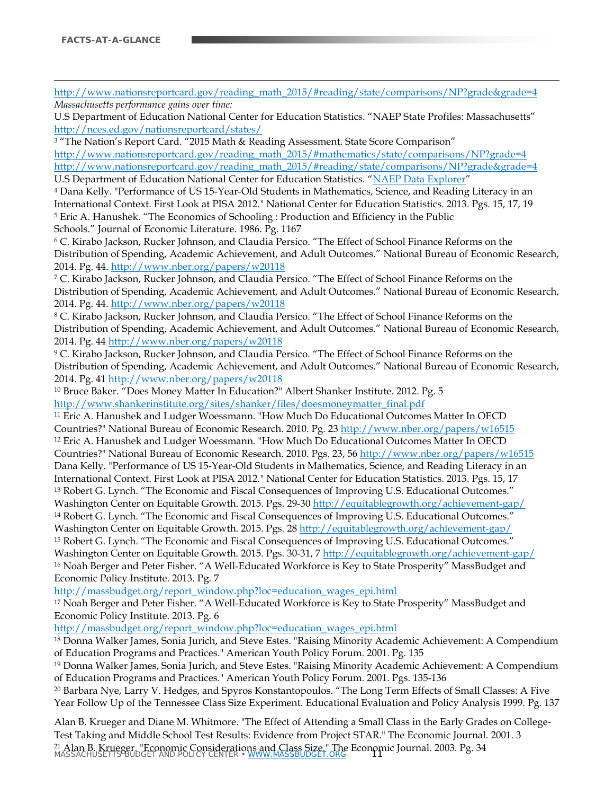$\overline{a}$ 

[http://www.nationsreportcard.gov/reading\\_math\\_2015/#reading/state/comparisons/NP?grade&grade=4](http://www.nationsreportcard.gov/reading_math_2015/#reading/state/comparisons/NP?grade&grade=4) *Massachusetts performance gains over time:*

U.S Department of Education National Center for Education Statistics. "NAEP State Profiles: Massachusetts" <http://nces.ed.gov/nationsreportcard/states/>

<span id="page-10-1"></span><sup>3</sup> "The Nation's Report Card. "2015 Math & Reading Assessment. State Score Comparison" [http://www.nationsreportcard.gov/reading\\_math\\_2015/#mathematics/state/comparisons/NP?grade=4](http://www.nationsreportcard.gov/reading_math_2015/#mathematics/state/comparisons/NP?grade=4) [http://www.nationsreportcard.gov/reading\\_math\\_2015/#reading/state/comparisons/NP?grade&grade=4](http://www.nationsreportcard.gov/reading_math_2015/#reading/state/comparisons/NP?grade&grade=4) U.S Department of Education National Center for Education Statistics. ["NAEP Data Explorer"](http://nces.ed.gov/nationsreportcard/naepdata/)

<span id="page-10-2"></span><sup>4</sup> Dana Kelly. "Performance of US 15-Year-Old Students in Mathematics, Science, and Reading Literacy in an International Context. First Look at PISA 2012." National Center for Education Statistics. 2013. Pgs. 15, 17, 19 <sup>5</sup> Eric A. Hanushek. "The Economics of Schooling : Production and Efficiency in the Public Schools." Journal of Economic Literature. 1986. Pg. 1167

<span id="page-10-4"></span><span id="page-10-3"></span><sup>6</sup> C. Kirabo Jackson, Rucker Johnson, and Claudia Persico. "The Effect of School Finance Reforms on the Distribution of Spending, Academic Achievement, and Adult Outcomes." National Bureau of Economic Research, 2014. Pg. 44[. http://www.nber.org/papers/w20118](http://www.nber.org/papers/w20118)

<span id="page-10-5"></span><sup>7</sup> C. Kirabo Jackson, Rucker Johnson, and Claudia Persico. "The Effect of School Finance Reforms on the Distribution of Spending, Academic Achievement, and Adult Outcomes." National Bureau of Economic Research, 2014. Pg. 44[. http://www.nber.org/papers/w20118](http://www.nber.org/papers/w20118)

<span id="page-10-6"></span><sup>8</sup> C. Kirabo Jackson, Rucker Johnson, and Claudia Persico. "The Effect of School Finance Reforms on the Distribution of Spending, Academic Achievement, and Adult Outcomes." National Bureau of Economic Research, 2014. Pg. 44 <http://www.nber.org/papers/w20118>

<span id="page-10-7"></span><sup>9</sup> C. Kirabo Jackson, Rucker Johnson, and Claudia Persico. "The Effect of School Finance Reforms on the Distribution of Spending, Academic Achievement, and Adult Outcomes." National Bureau of Economic Research, 2014. Pg. 41<http://www.nber.org/papers/w20118>

<span id="page-10-8"></span><sup>10</sup> Bruce Baker. "Does Money Matter In Education?" Albert Shanker Institute. 2012. Pg. 5 [http://www.shankerinstitute.org/sites/shanker/files/doesmoneymatter\\_final.pdf](http://www.shankerinstitute.org/sites/shanker/files/doesmoneymatter_final.pdf)

<span id="page-10-10"></span><span id="page-10-9"></span><sup>11</sup> Eric A. Hanushek and Ludger Woessmann. "How Much Do Educational Outcomes Matter In OECD Countries?" National Bureau of Economic Research. 2010. Pg. 23<http://www.nber.org/papers/w16515> <sup>12</sup> Eric A. Hanushek and Ludger Woessmann. "How Much Do Educational Outcomes Matter In OECD Countries?" National Bureau of Economic Research. 2010. Pgs. 23, 56<http://www.nber.org/papers/w16515> Dana Kelly. "Performance of US 15-Year-Old Students in Mathematics, Science, and Reading Literacy in an International Context. First Look at PISA 2012." National Center for Education Statistics. 2013. Pgs. 15, 17 <sup>13</sup> Robert G. Lynch. "The Economic and Fiscal Consequences of Improving U.S. Educational Outcomes." Washington Center on Equitable Growth. 2015. Pgs. 29-30<http://equitablegrowth.org/achievement-gap/> <sup>14</sup> Robert G. Lynch. "The Economic and Fiscal Consequences of Improving U.S. Educational Outcomes." Washington Center on Equitable Growth. 2015. Pgs. 28<http://equitablegrowth.org/achievement-gap/> <sup>15</sup> Robert G. Lynch. "The Economic and Fiscal Consequences of Improving U.S. Educational Outcomes."

<span id="page-10-13"></span><span id="page-10-12"></span><span id="page-10-11"></span>Washington Center on Equitable Growth. 2015. Pgs. 30-31, 7 <http://equitablegrowth.org/achievement-gap/> <sup>16</sup> Noah Berger and Peter Fisher. "A Well-Educated Workforce is Key to State Prosperity" MassBudget and Economic Policy Institute. 2013. Pg. 7

[http://massbudget.org/report\\_window.php?loc=education\\_wages\\_epi.html](http://massbudget.org/report_window.php?loc=education_wages_epi.html)

<sup>17</sup> Noah Berger and Peter Fisher. "A Well-Educated Workforce is Key to State Prosperity" MassBudget and Economic Policy Institute. 2013. Pg. 6

[http://massbudget.org/report\\_window.php?loc=education\\_wages\\_epi.html](http://massbudget.org/report_window.php?loc=education_wages_epi.html)

<sup>18</sup> Donna Walker James, Sonia Jurich, and Steve Estes. "Raising Minority Academic Achievement: A Compendium of Education Programs and Practices." American Youth Policy Forum. 2001. Pg. 135

<span id="page-10-0"></span><sup>19</sup> Donna Walker James, Sonia Jurich, and Steve Estes. "Raising Minority Academic Achievement: A Compendium of Education Programs and Practices." American Youth Policy Forum. 2001. Pgs. 135-136

<sup>20</sup> Barbara Nye, Larry V. Hedges, and Spyros Konstantopoulos. "The Long Term Effects of Small Classes: A Five Year Follow Up of the Tennessee Class Size Experiment. Educational Evaluation and Policy Analysis 1999. Pg. 137

<sup>21</sup> Alan B. Krueger. "Economic Considerations and Class Size." The Economic Journal. 2003. Pg. 34<br>MASSACHUSETTS BUDGET AND POLICY CENTER • <u>WWW.MASSBUDGET.ORG</u> Alan B. Krueger and Diane M. Whitmore. "The Effect of Attending a Small Class in the Early Grades on College‐ Test Taking and Middle School Test Results: Evidence from Project STAR." The Economic Journal. 2001. 3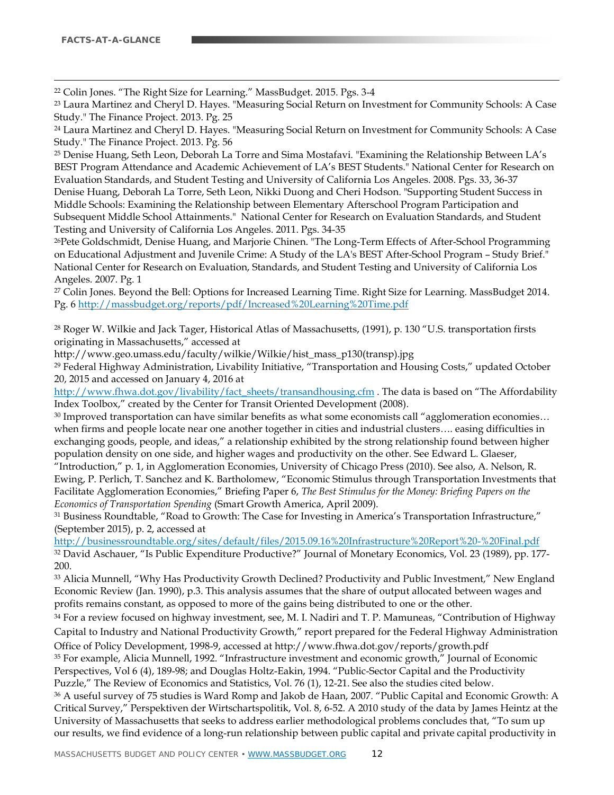<span id="page-11-6"></span>22 Colin Jones. "The Right Size for Learning." MassBudget. 2015. Pgs. 3-4

<sup>23</sup> Laura Martinez and Cheryl D. Hayes. "Measuring Social Return on Investment for Community Schools: A Case Study." The Finance Project. 2013. Pg. 25

<sup>24</sup> Laura Martinez and Cheryl D. Hayes. "Measuring Social Return on Investment for Community Schools: A Case Study." The Finance Project. 2013. Pg. 56

<sup>25</sup> Denise Huang, Seth Leon, Deborah La Torre and Sima Mostafavi. "Examining the Relationship Between LA's BEST Program Attendance and Academic Achievement of LA's BEST Students." National Center for Research on Evaluation Standards, and Student Testing and University of California Los Angeles. 2008. Pgs. 33, 36-37 Denise Huang, Deborah La Torre, Seth Leon, Nikki Duong and Cheri Hodson. "Supporting Student Success in Middle Schools: Examining the Relationship between Elementary Afterschool Program Participation and Subsequent Middle School Attainments." National Center for Research on Evaluation Standards, and Student Testing and University of California Los Angeles. 2011. Pgs. 34-35

26Pete Goldschmidt, Denise Huang, and Marjorie Chinen. "The Long-Term Effects of After-School Programming on Educational Adjustment and Juvenile Crime: A Study of the LA's BEST After-School Program – Study Brief." National Center for Research on Evaluation, Standards, and Student Testing and University of California Los Angeles. 2007. Pg. 1

<sup>27</sup> Colin Jones. Beyond the Bell: Options for Increased Learning Time. Right Size for Learning. MassBudget 2014. Pg. 6<http://massbudget.org/reports/pdf/Increased%20Learning%20Time.pdf>

<sup>28</sup> Roger W. Wilkie and Jack Tager, Historical Atlas of Massachusetts, (1991), p. 130 "U.S. transportation firsts originating in Massachusetts," accessed at

http://www.geo.umass.edu/faculty/wilkie/Wilkie/hist\_mass\_p130(transp).jpg

<sup>29</sup> Federal Highway Administration, Livability Initiative, "Transportation and Housing Costs," updated October 20, 2015 and accessed on January 4, 2016 at

[http://www.fhwa.dot.gov/livability/fact\\_sheets/transandhousing.cfm](http://www.fhwa.dot.gov/livability/fact_sheets/transandhousing.cfm) . The data is based on "The Affordability Index Toolbox," created by the Center for Transit Oriented Development (2008).

<sup>30</sup> Improved transportation can have similar benefits as what some economists call "agglomeration economies... when firms and people locate near one another together in cities and industrial clusters…. easing difficulties in exchanging goods, people, and ideas," a relationship exhibited by the strong relationship found between higher population density on one side, and higher wages and productivity on the other. See Edward L. Glaeser,

"Introduction," p. 1, in Agglomeration Economies, University of Chicago Press (2010). See also, A. Nelson, R. Ewing, P. Perlich, T. Sanchez and K. Bartholomew, "Economic Stimulus through Transportation Investments that Facilitate Agglomeration Economies," Briefing Paper 6, *The Best Stimulus for the Money: Briefing Papers on the Economics of Transportation Spending* (Smart Growth America, April 2009).

<sup>31</sup> Business Roundtable, "Road to Growth: The Case for Investing in America's Transportation Infrastructure," (September 2015), p. 2, accessed at

<http://businessroundtable.org/sites/default/files/2015.09.16%20Infrastructure%20Report%20-%20Final.pdf> <sup>32</sup> David Aschauer, "Is Public Expenditure Productive?" Journal of Monetary Economics, Vol. 23 (1989), pp. 177- 200.

<span id="page-11-0"></span><sup>33</sup> Alicia Munnell, "Why Has Productivity Growth Declined? Productivity and Public Investment," New England Economic Review (Jan. 1990), p.3. This analysis assumes that the share of output allocated between wages and profits remains constant, as opposed to more of the gains being distributed to one or the other.

<span id="page-11-1"></span><sup>34</sup> For a review focused on highway investment, see, M. I. Nadiri and T. P. Mamuneas, "Contribution of Highway Capital to Industry and National Productivity Growth," report prepared for the Federal Highway Administration Office of Policy Development, 1998-9, accessed at http://www.fhwa.dot.gov/reports/growth.pdf

<span id="page-11-3"></span><span id="page-11-2"></span><sup>35</sup> For example, Alicia Munnell, 1992. "Infrastructure investment and economic growth," Journal of Economic Perspectives, Vol 6 (4), 189-98; and Douglas Holtz-Eakin, 1994. "Public-Sector Capital and the Productivity Puzzle," The Review of Economics and Statistics, Vol. 76 (1), 12-21. See also the studies cited below.

<span id="page-11-5"></span><span id="page-11-4"></span><sup>36</sup> A useful survey of 75 studies is Ward Romp and Jakob de Haan, 2007. "Public Capital and Economic Growth: A Critical Survey," Perspektiven der Wirtschartspolitik, Vol. 8, 6-52. A 2010 study of the data by James Heintz at the University of Massachusetts that seeks to address earlier methodological problems concludes that, "To sum up our results, we find evidence of a long-run relationship between public capital and private capital productivity in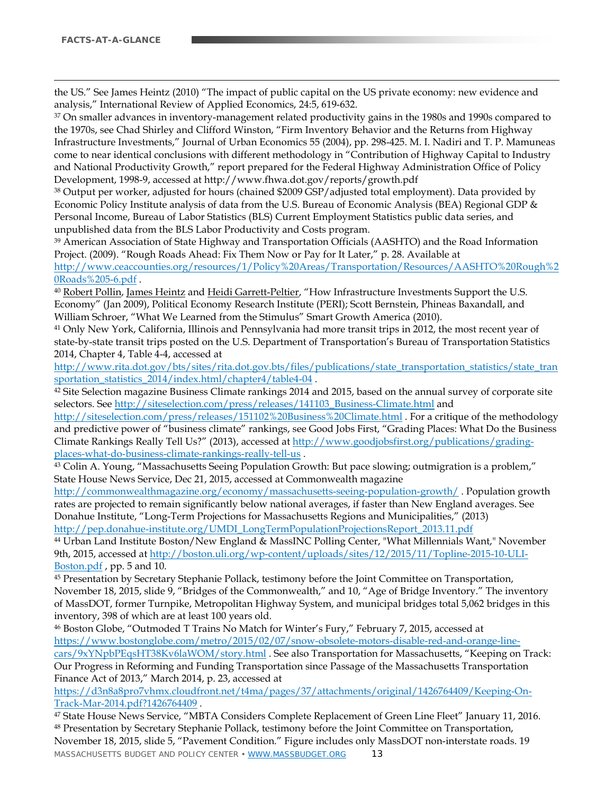$\overline{a}$ 

<span id="page-12-0"></span>the US." See James Heintz (2010) "The impact of public capital on the US private economy: new evidence and analysis," International Review of Applied Economics, 24:5, 619-632.

<span id="page-12-2"></span><span id="page-12-1"></span><sup>37</sup> On smaller advances in inventory-management related productivity gains in the 1980s and 1990s compared to the 1970s, see Chad Shirley and Clifford Winston, "Firm Inventory Behavior and the Returns from Highway Infrastructure Investments," Journal of Urban Economics 55 (2004), pp. 298-425. M. I. Nadiri and T. P. Mamuneas come to near identical conclusions with different methodology in "Contribution of Highway Capital to Industry and National Productivity Growth," report prepared for the Federal Highway Administration Office of Policy Development, 1998-9, accessed at http://www.fhwa.dot.gov/reports/growth.pdf

<sup>38</sup> Output per worker, adjusted for hours (chained \$2009 GSP/adjusted total employment). Data provided by Economic Policy Institute analysis of data from the U.S. Bureau of Economic Analysis (BEA) Regional GDP & Personal Income, Bureau of Labor Statistics (BLS) Current Employment Statistics public data series, and unpublished data from the BLS Labor Productivity and Costs program.

<span id="page-12-3"></span><sup>39</sup> American Association of State Highway and Transportation Officials (AASHTO) and the Road Information Project. (2009). "Rough Roads Ahead: Fix Them Now or Pay for It Later," p. 28. Available at

[http://www.ceaccounties.org/resources/1/Policy%20Areas/Transportation/Resources/AASHTO%20Rough%2](http://www.ceaccounties.org/resources/1/Policy%20Areas/Transportation/Resources/AASHTO%20Rough%20Roads%205-6.pdf) [0Roads%205-6.pdf](http://www.ceaccounties.org/resources/1/Policy%20Areas/Transportation/Resources/AASHTO%20Rough%20Roads%205-6.pdf) .

<span id="page-12-4"></span>40 [Robert Pollin,](http://www.peri.umass.edu/nc/201/?tx_peripubs_pi1%5Bauthor_id%5D=39) [James Heintz](http://www.peri.umass.edu/nc/201/?tx_peripubs_pi1%5Bauthor_id%5D=3) and [Heidi Garrett-Peltier,](http://www.peri.umass.edu/nc/201/?tx_peripubs_pi1%5Bauthor_id%5D=173) "How Infrastructure Investments Support the U.S. Economy" (Jan 2009), Political Economy Research Institute (PERI); Scott Bernstein, Phineas Baxandall, and William Schroer, "What We Learned from the Stimulus" Smart Growth America (2010).

<span id="page-12-5"></span><sup>41</sup> Only New York, California, Illinois and Pennsylvania had more transit trips in 2012, the most recent year of state-by-state transit trips posted on the U.S. Department of Transportation's Bureau of Transportation Statistics 2014, Chapter 4, Table 4-4, accessed at

<span id="page-12-6"></span>[http://www.rita.dot.gov/bts/sites/rita.dot.gov.bts/files/publications/state\\_transportation\\_statistics/state\\_tran](http://www.rita.dot.gov/bts/sites/rita.dot.gov.bts/files/publications/state_transportation_statistics/state_transportation_statistics_2014/index.html/chapter4/table4-04) [sportation\\_statistics\\_2014/index.html/chapter4/table4-04](http://www.rita.dot.gov/bts/sites/rita.dot.gov.bts/files/publications/state_transportation_statistics/state_transportation_statistics_2014/index.html/chapter4/table4-04).

42 Site Selection magazine Business Climate rankings 2014 and 2015, based on the annual survey of corporate site selectors. See [http://siteselection.com/press/releases/141103\\_Business-Climate.html](http://siteselection.com/press/releases/141103_Business-Climate.html) and

<http://siteselection.com/press/releases/151102%20Business%20Climate.html> . For a critique of the methodology and predictive power of "business climate" rankings, see Good Jobs First, "Grading Places: What Do the Business Climate Rankings Really Tell Us?" (2013), accessed at [http://www.goodjobsfirst.org/publications/grading-](http://www.goodjobsfirst.org/publications/grading-places-what-do-business-climate-rankings-really-tell-us)

places-what-do-business-climate-rankings-really-tell-us .<br><sup>43</sup> Colin A. Young, "Massachusetts Seeing Population Growth: But pace slowing; outmigration is a problem," State House News Service, Dec 21, 2015, accessed at Commonwealth magazine

<http://commonwealthmagazine.org/economy/massachusetts-seeing-population-growth/> . Population growth rates are projected to remain significantly below national averages, if faster than New England averages. See Donahue Institute, "Long-Term Projections for Massachusetts Regions and Municipalities," (2013) [http://pep.donahue-institute.org/UMDI\\_LongTermPopulationProjectionsReport\\_2013.11.pdf](http://pep.donahue-institute.org/UMDI_LongTermPopulationProjectionsReport_2013.11.pdf)

<sup>44</sup> Urban Land Institute Boston/New England & MassINC Polling Center, "What Millennials Want," November 9th, 2015, accessed a[t http://boston.uli.org/wp-content/uploads/sites/12/2015/11/Topline-2015-10-ULI-](http://boston.uli.org/wp-content/uploads/sites/12/2015/11/Topline-2015-10-ULI-Boston.pdf)[Boston.pdf](http://boston.uli.org/wp-content/uploads/sites/12/2015/11/Topline-2015-10-ULI-Boston.pdf) , pp. 5 and 10.

<sup>45</sup> Presentation by Secretary Stephanie Pollack, testimony before the Joint Committee on Transportation, November 18, 2015, slide 9, "Bridges of the Commonwealth," and 10, "Age of Bridge Inventory." The inventory of MassDOT, former Turnpike, Metropolitan Highway System, and municipal bridges total 5,062 bridges in this inventory, 398 of which are at least 100 years old.

<sup>46</sup> Boston Globe, "Outmoded T Trains No Match for Winter's Fury," February 7, 2015, accessed at [https://www.bostonglobe.com/metro/2015/02/07/snow-obsolete-motors-disable-red-and-orange-line](https://www.bostonglobe.com/metro/2015/02/07/snow-obsolete-motors-disable-red-and-orange-line-cars/9xYNpbPEqsHT38Kv6laWOM/story.html)[cars/9xYNpbPEqsHT38Kv6laWOM/story.html](https://www.bostonglobe.com/metro/2015/02/07/snow-obsolete-motors-disable-red-and-orange-line-cars/9xYNpbPEqsHT38Kv6laWOM/story.html) . See also Transportation for Massachusetts, "Keeping on Track: Our Progress in Reforming and Funding Transportation since Passage of the Massachusetts Transportation Finance Act of 2013," March 2014, p. 23, accessed at

[https://d3n8a8pro7vhmx.cloudfront.net/t4ma/pages/37/attachments/original/1426764409/Keeping-On-](https://d3n8a8pro7vhmx.cloudfront.net/t4ma/pages/37/attachments/original/1426764409/Keeping-On-Track-Mar-2014.pdf?1426764409)[Track-Mar-2014.pdf?1426764409](https://d3n8a8pro7vhmx.cloudfront.net/t4ma/pages/37/attachments/original/1426764409/Keeping-On-Track-Mar-2014.pdf?1426764409) .

MASSACHUSETTS BUDGET AND POLICY CENTER • [WWW.MASSBUDGET.ORG](http://www.massbudget.org/) 13 <sup>47</sup> State House News Service, "MBTA Considers Complete Replacement of Green Line Fleet" January 11, 2016. <sup>48</sup> Presentation by Secretary Stephanie Pollack, testimony before the Joint Committee on Transportation, November 18, 2015, slide 5, "Pavement Condition." Figure includes only MassDOT non-interstate roads. 19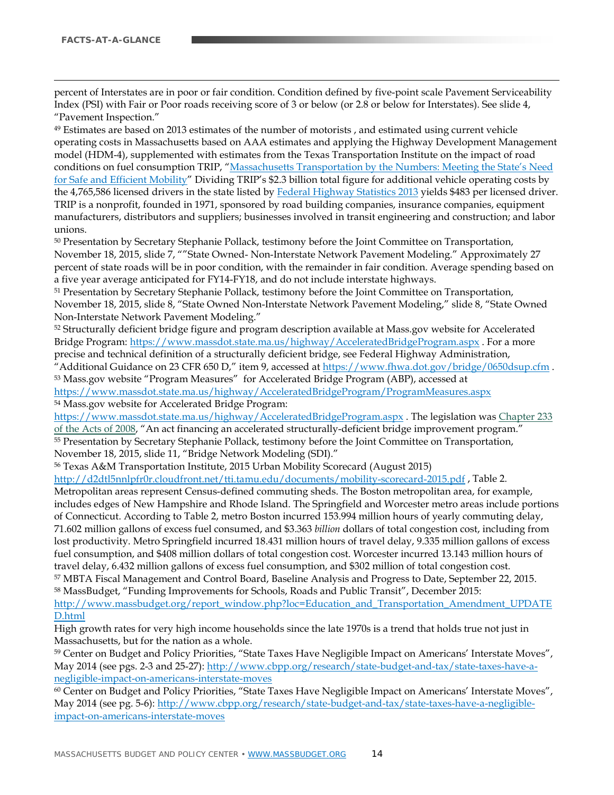$\overline{a}$ 

percent of Interstates are in poor or fair condition. Condition defined by five-point scale Pavement Serviceability Index (PSI) with Fair or Poor roads receiving score of 3 or below (or 2.8 or below for Interstates). See slide 4, "Pavement Inspection."

<span id="page-13-7"></span><sup>49</sup> Estimates are based on 2013 estimates of the number of motorists , and estimated using current vehicle operating costs in Massachusetts based on AAA estimates and applying the Highway Development Management model (HDM-4), supplemented with estimates from the Texas Transportation Institute on the impact of road conditions on fuel consumption TRIP, ["Massachusetts Transportation by the Numbers: Meeting the State's Need](http://www.tripnet.org/docs/MA_Transportation_by_the_Numbers_TRIP_Report_Oct_2014.pdf)  [for Safe and Efficient Mobility"](http://www.tripnet.org/docs/MA_Transportation_by_the_Numbers_TRIP_Report_Oct_2014.pdf) Dividing TRIP's \$2.3 billion total figure for additional vehicle operating costs by the 4,765,586 licensed drivers in the state listed by [Federal Highway Statistics 2013](https://www.fhwa.dot.gov/policyinformation/statistics/2013/dl22.cfm) yields \$483 per licensed driver. TRIP is a nonprofit, founded in 1971, sponsored by road building companies, insurance companies, equipment manufacturers, distributors and suppliers; businesses involved in transit engineering and construction; and labor unions.

<span id="page-13-8"></span><sup>50</sup> Presentation by Secretary Stephanie Pollack, testimony before the Joint Committee on Transportation, November 18, 2015, slide 7, ""State Owned- Non-Interstate Network Pavement Modeling." Approximately 27 percent of state roads will be in poor condition, with the remainder in fair condition. Average spending based on a five year average anticipated for FY14-FY18, and do not include interstate highways.

<sup>51</sup> Presentation by Secretary Stephanie Pollack, testimony before the Joint Committee on Transportation, November 18, 2015, slide 8, "State Owned Non-Interstate Network Pavement Modeling," slide 8, "State Owned Non-Interstate Network Pavement Modeling."

<sup>52</sup> Structurally deficient bridge figure and program description available at Mass.gov website for Accelerated Bridge Program[: https://www.massdot.state.ma.us/highway/AcceleratedBridgeProgram.aspx](https://www.massdot.state.ma.us/highway/AcceleratedBridgeProgram.aspx) . For a more precise and technical definition of a structurally deficient bridge, see Federal Highway Administration, "Additional Guidance on 23 CFR 650 D," item 9, accessed at<https://www.fhwa.dot.gov/bridge/0650dsup.cfm>.

<sup>53</sup> Mass.gov website "Program Measures" for Accelerated Bridge Program (ABP), accessed at <https://www.massdot.state.ma.us/highway/AcceleratedBridgeProgram/ProgramMeasures.aspx> <sup>54</sup> Mass.gov website for Accelerated Bridge Program:

<span id="page-13-0"></span><https://www.massdot.state.ma.us/highway/AcceleratedBridgeProgram.aspx> . The legislation wa[s Chapter 233](https://malegislature.gov/Laws/SessionLaws/Acts/2008/Chapter233)  [of the Acts of 2008,](https://malegislature.gov/Laws/SessionLaws/Acts/2008/Chapter233) "An act financing an accelerated structurally-deficient bridge improvement program." <sup>55</sup> Presentation by Secretary Stephanie Pollack, testimony before the Joint Committee on Transportation, November 18, 2015, slide 11, "Bridge Network Modeling (SDI)."

<sup>56</sup> Texas A&M Transportation Institute, 2015 Urban Mobility Scorecard (August 2015)

<span id="page-13-1"></span><http://d2dtl5nnlpfr0r.cloudfront.net/tti.tamu.edu/documents/mobility-scorecard-2015.pdf> , Table 2. Metropolitan areas represent Census-defined commuting sheds. The Boston metropolitan area, for example, includes edges of New Hampshire and Rhode Island. The Springfield and Worcester metro areas include portions of Connecticut. According to Table 2, metro Boston incurred 153.994 million hours of yearly commuting delay, 71.602 million gallons of excess fuel consumed, and \$3.363 *billion* dollars of total congestion cost, including from lost productivity. Metro Springfield incurred 18.431 million hours of travel delay, 9.335 million gallons of excess fuel consumption, and \$408 million dollars of total congestion cost. Worcester incurred 13.143 million hours of travel delay, 6.432 million gallons of excess fuel consumption, and \$302 million of total congestion cost.

<span id="page-13-3"></span><span id="page-13-2"></span><sup>57</sup> MBTA Fiscal Management and Control Board, Baseline Analysis and Progress to Date, September 22, 2015.

<sup>58</sup> MassBudget, "Funding Improvements for Schools, Roads and Public Transit", December 2015: [http://www.massbudget.org/report\\_window.php?loc=Education\\_and\\_Transportation\\_Amendment\\_UPDATE](http://www.massbudget.org/report_window.php?loc=Education_and_Transportation_Amendment_UPDATED.html)

#### <span id="page-13-4"></span>[D.html](http://www.massbudget.org/report_window.php?loc=Education_and_Transportation_Amendment_UPDATED.html)

High growth rates for very high income households since the late 1970s is a trend that holds true not just in Massachusetts, but for the nation as a whole.

<span id="page-13-5"></span><sup>59</sup> Center on Budget and Policy Priorities, "State Taxes Have Negligible Impact on Americans' Interstate Moves", May 2014 (see pgs. 2-3 and 25-27): [http://www.cbpp.org/research/state-budget-and-tax/state-taxes-have-a](http://www.cbpp.org/research/state-budget-and-tax/state-taxes-have-a-negligible-impact-on-americans-interstate-moves)[negligible-impact-on-americans-interstate-moves](http://www.cbpp.org/research/state-budget-and-tax/state-taxes-have-a-negligible-impact-on-americans-interstate-moves)

<span id="page-13-6"></span><sup>60</sup> Center on Budget and Policy Priorities, "State Taxes Have Negligible Impact on Americans' Interstate Moves", May 2014 (see pg. 5-6): [http://www.cbpp.org/research/state-budget-and-tax/state-taxes-have-a-negligible](http://www.cbpp.org/research/state-budget-and-tax/state-taxes-have-a-negligible-impact-on-americans-interstate-moves)[impact-on-americans-interstate-moves](http://www.cbpp.org/research/state-budget-and-tax/state-taxes-have-a-negligible-impact-on-americans-interstate-moves)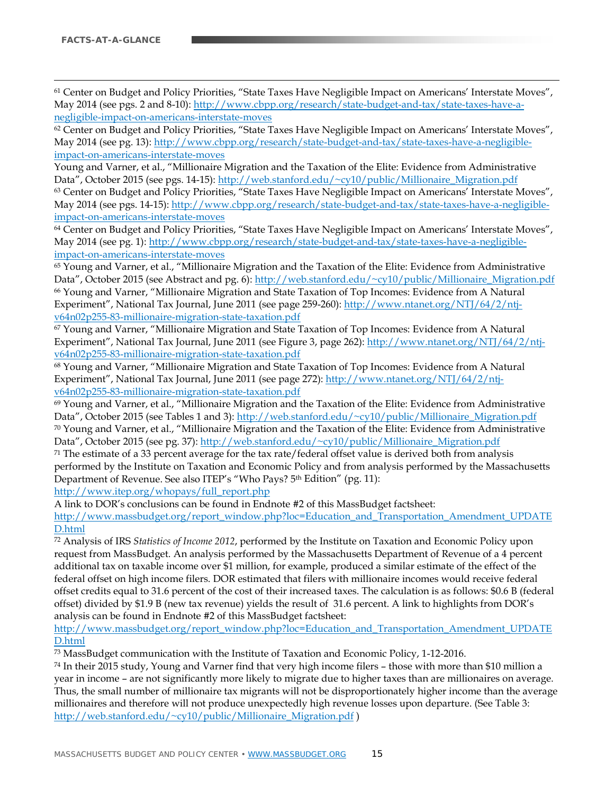61 Center on Budget and Policy Priorities, "State Taxes Have Negligible Impact on Americans' Interstate Moves", May 2014 (see pgs. 2 and 8-10): [http://www.cbpp.org/research/state-budget-and-tax/state-taxes-have-a](http://www.cbpp.org/research/state-budget-and-tax/state-taxes-have-a-negligible-impact-on-americans-interstate-moves)[negligible-impact-on-americans-interstate-moves](http://www.cbpp.org/research/state-budget-and-tax/state-taxes-have-a-negligible-impact-on-americans-interstate-moves)

 $62$  Center on Budget and Policy Priorities, "State Taxes Have Negligible Impact on Americans' Interstate Moves", May 2014 (see pg. 13)[: http://www.cbpp.org/research/state-budget-and-tax/state-taxes-have-a-negligible](http://www.cbpp.org/research/state-budget-and-tax/state-taxes-have-a-negligible-impact-on-americans-interstate-moves)[impact-on-americans-interstate-moves](http://www.cbpp.org/research/state-budget-and-tax/state-taxes-have-a-negligible-impact-on-americans-interstate-moves)

Young and Varner, et al., "Millionaire Migration and the Taxation of the Elite: Evidence from Administrative Data", October 2015 (see pgs. 14-15)[: http://web.stanford.edu/~cy10/public/Millionaire\\_Migration.pdf](http://web.stanford.edu/%7Ecy10/public/Millionaire_Migration.pdf) <sup>63</sup> Center on Budget and Policy Priorities, "State Taxes Have Negligible Impact on Americans' Interstate Moves", May 2014 (see pgs. 14-15): [http://www.cbpp.org/research/state-budget-and-tax/state-taxes-have-a-negligible](http://www.cbpp.org/research/state-budget-and-tax/state-taxes-have-a-negligible-impact-on-americans-interstate-moves)[impact-on-americans-interstate-moves](http://www.cbpp.org/research/state-budget-and-tax/state-taxes-have-a-negligible-impact-on-americans-interstate-moves)

<span id="page-14-0"></span><sup>64</sup> Center on Budget and Policy Priorities, "State Taxes Have Negligible Impact on Americans' Interstate Moves", May 2014 (see pg. 1)[: http://www.cbpp.org/research/state-budget-and-tax/state-taxes-have-a-negligible](http://www.cbpp.org/research/state-budget-and-tax/state-taxes-have-a-negligible-impact-on-americans-interstate-moves)[impact-on-americans-interstate-moves](http://www.cbpp.org/research/state-budget-and-tax/state-taxes-have-a-negligible-impact-on-americans-interstate-moves)

<span id="page-14-1"></span><sup>65</sup> Young and Varner, et al., "Millionaire Migration and the Taxation of the Elite: Evidence from Administrative Data", October 2015 (see Abstract and pg. 6): [http://web.stanford.edu/~cy10/public/Millionaire\\_Migration.pdf](http://web.stanford.edu/%7Ecy10/public/Millionaire_Migration.pdf) <sup>66</sup> Young and Varner, "Millionaire Migration and State Taxation of Top Incomes: Evidence from A Natural Experiment", National Tax Journal, June 2011 (see page 259-260): [http://www.ntanet.org/NTJ/64/2/ntj](http://www.ntanet.org/NTJ/64/2/ntj-v64n02p255-83-millionaire-migration-state-taxation.pdf)[v64n02p255-83-millionaire-migration-state-taxation.pdf](http://www.ntanet.org/NTJ/64/2/ntj-v64n02p255-83-millionaire-migration-state-taxation.pdf)

<span id="page-14-2"></span><sup>67</sup> Young and Varner, "Millionaire Migration and State Taxation of Top Incomes: Evidence from A Natural Experiment", National Tax Journal, June 2011 (see Figure 3, page 262): [http://www.ntanet.org/NTJ/64/2/ntj](http://www.ntanet.org/NTJ/64/2/ntj-v64n02p255-83-millionaire-migration-state-taxation.pdf)[v64n02p255-83-millionaire-migration-state-taxation.pdf](http://www.ntanet.org/NTJ/64/2/ntj-v64n02p255-83-millionaire-migration-state-taxation.pdf)

<sup>68</sup> Young and Varner, "Millionaire Migration and State Taxation of Top Incomes: Evidence from A Natural Experiment", National Tax Journal, June 2011 (see page 272): [http://www.ntanet.org/NTJ/64/2/ntj](http://www.ntanet.org/NTJ/64/2/ntj-v64n02p255-83-millionaire-migration-state-taxation.pdf)[v64n02p255-83-millionaire-migration-state-taxation.pdf](http://www.ntanet.org/NTJ/64/2/ntj-v64n02p255-83-millionaire-migration-state-taxation.pdf)

<span id="page-14-3"></span> $69$  Young and Varner, et al., "Millionaire Migration and the Taxation of the Elite: Evidence from Administrative Data", October 2015 (see Tables 1 and 3): [http://web.stanford.edu/~cy10/public/Millionaire\\_Migration.pdf](http://web.stanford.edu/%7Ecy10/public/Millionaire_Migration.pdf)  $70$  Young and Varner, et al., "Millionaire Migration and the Taxation of the Elite: Evidence from Administrative Data", October 2015 (see pg. 37): [http://web.stanford.edu/~cy10/public/Millionaire\\_Migration.pdf](http://web.stanford.edu/%7Ecy10/public/Millionaire_Migration.pdf)

<span id="page-14-4"></span> $71$  The estimate of a 33 percent average for the tax rate/federal offset value is derived both from analysis performed by the Institute on Taxation and Economic Policy and from analysis performed by the Massachusetts Department of Revenue. See also ITEP's "Who Pays? 5th Edition" (pg. 11): [http://www.itep.org/whopays/full\\_report.php](http://www.itep.org/whopays/full_report.php) 

A link to DOR's conclusions can be found in Endnote #2 of this MassBudget factsheet:

[http://www.massbudget.org/report\\_window.php?loc=Education\\_and\\_Transportation\\_Amendment\\_UPDATE](http://www.massbudget.org/report_window.php?loc=Education_and_Transportation_Amendment_UPDATED.html) [D.html](http://www.massbudget.org/report_window.php?loc=Education_and_Transportation_Amendment_UPDATED.html)

<span id="page-14-5"></span><sup>72</sup> Analysis of IRS *Statistics of Income 2012*, performed by the Institute on Taxation and Economic Policy upon request from MassBudget. An analysis performed by the Massachusetts Department of Revenue of a 4 percent additional tax on taxable income over \$1 million, for example, produced a similar estimate of the effect of the federal offset on high income filers. DOR estimated that filers with millionaire incomes would receive federal offset credits equal to 31.6 percent of the cost of their increased taxes. The calculation is as follows: \$0.6 B (federal offset) divided by \$1.9 B (new tax revenue) yields the result of 31.6 percent. A link to highlights from DOR's analysis can be found in Endnote #2 of this MassBudget factsheet:

[http://www.massbudget.org/report\\_window.php?loc=Education\\_and\\_Transportation\\_Amendment\\_UPDATE](http://www.massbudget.org/report_window.php?loc=Education_and_Transportation_Amendment_UPDATED.html) [D.html](http://www.massbudget.org/report_window.php?loc=Education_and_Transportation_Amendment_UPDATED.html)

<sup>73</sup> MassBudget communication with the Institute of Taxation and Economic Policy, 1-12-2016.

<sup>74</sup> In their 2015 study, Young and Varner find that very high income filers – those with more than \$10 million a year in income – are not significantly more likely to migrate due to higher taxes than are millionaires on average. Thus, the small number of millionaire tax migrants will not be disproportionately higher income than the average millionaires and therefore will not produce unexpectedly high revenue losses upon departure. (See Table 3: [http://web.stanford.edu/~cy10/public/Millionaire\\_Migration.pdf](http://web.stanford.edu/%7Ecy10/public/Millionaire_Migration.pdf) )